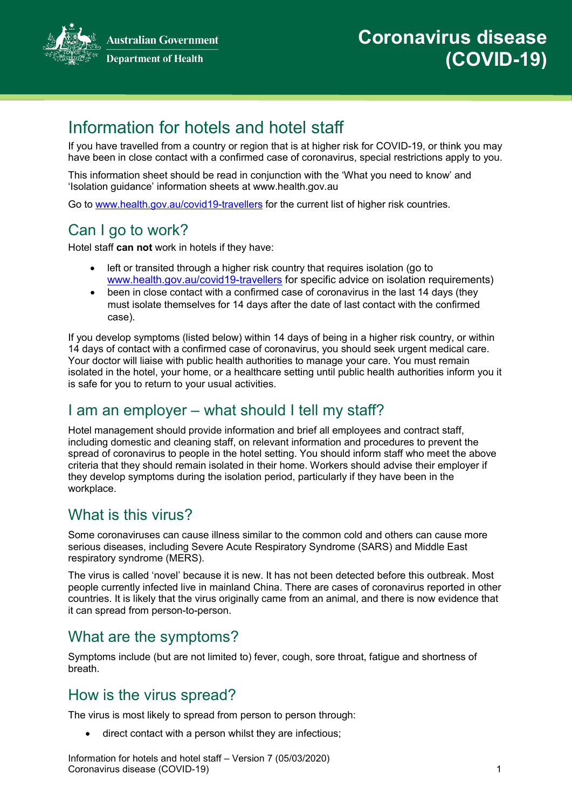**Australian Government Department of Health** 



# Information for hotels and hotel staff

If you have travelled from a country or region that is at higher risk for COVID-19, or think you may have been in close contact with a confirmed case of coronavirus, special restrictions apply to you.

This information sheet should be read in conjunction with the 'What you need to know' and 'Isolation guidance' information sheets at www.health.gov.au

Go to [www.health.gov.au/covid19-travellers](https://www.health.gov.au/news/health-alerts/novel-coronavirus-2019-ncov-health-alert?utm_source=health.gov.au&utm_medium=redirect&utm_campaign=digital_transformation&utm_content=covid19-travellers#travellers-and-visitors) for the current list of higher risk countries.

# Can I go to work?

Hotel staff **can not** work in hotels if they have:

- left or transited through a higher risk country that requires isolation (go to [www.health.gov.au/covid19-travellers](https://www.health.gov.au/news/health-alerts/novel-coronavirus-2019-ncov-health-alert?utm_source=health.gov.au&utm_medium=redirect&utm_campaign=digital_transformation&utm_content=covid19-travellers#travellers-and-visitors) for specific advice on isolation requirements)
- been in close contact with a confirmed case of coronavirus in the last 14 days (they must isolate themselves for 14 days after the date of last contact with the confirmed case).

If you develop symptoms (listed below) within 14 days of being in a higher risk country, or within 14 days of contact with a confirmed case of coronavirus, you should seek urgent medical care. Your doctor will liaise with public health authorities to manage your care. You must remain isolated in the hotel, your home, or a healthcare setting until public health authorities inform you it is safe for you to return to your usual activities.

#### I am an employer – what should I tell my staff?

Hotel management should provide information and brief all employees and contract staff, including domestic and cleaning staff, on relevant information and procedures to prevent the spread of coronavirus to people in the hotel setting. You should inform staff who meet the above criteria that they should remain isolated in their home. Workers should advise their employer if they develop symptoms during the isolation period, particularly if they have been in the workplace.

# What is this virus?

Some coronaviruses can cause illness similar to the common cold and others can cause more serious diseases, including Severe Acute Respiratory Syndrome (SARS) and Middle East respiratory syndrome (MERS).

The virus is called 'novel' because it is new. It has not been detected before this outbreak. Most people currently infected live in mainland China. There are cases of coronavirus reported in other countries. It is likely that the virus originally came from an animal, and there is now evidence that it can spread from person-to-person.

#### What are the symptoms?

Symptoms include (but are not limited to) fever, cough, sore throat, fatigue and shortness of breath.

#### How is the virus spread?

The virus is most likely to spread from person to person through:

• direct contact with a person whilst they are infectious;

Information for hotels and hotel staff – Version 7 (05/03/2020) Coronavirus disease (COVID-19) 1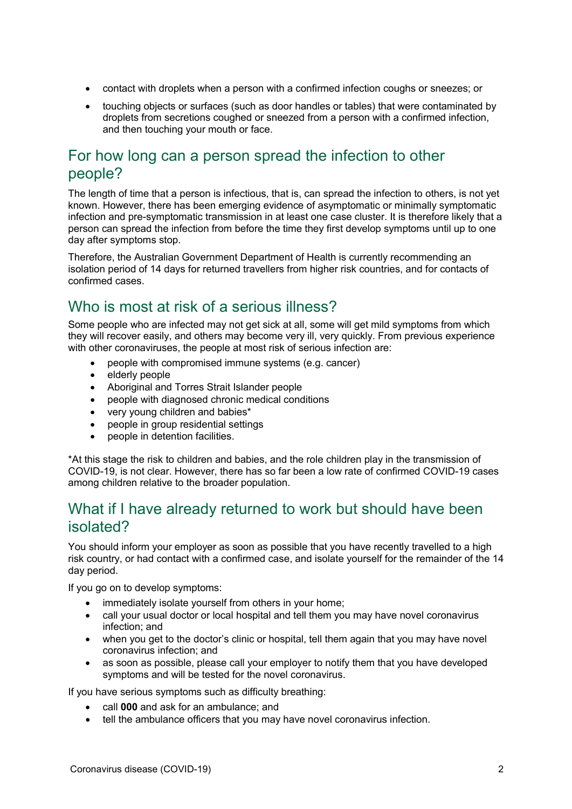- contact with droplets when a person with a confirmed infection coughs or sneezes; or
- touching objects or surfaces (such as door handles or tables) that were contaminated by droplets from secretions coughed or sneezed from a person with a confirmed infection, and then touching your mouth or face.

#### For how long can a person spread the infection to other people?

The length of time that a person is infectious, that is, can spread the infection to others, is not yet known. However, there has been emerging evidence of asymptomatic or minimally symptomatic infection and pre-symptomatic transmission in at least one case cluster. It is therefore likely that a person can spread the infection from before the time they first develop symptoms until up to one day after symptoms stop.

Therefore, the Australian Government Department of Health is currently recommending an isolation period of 14 days for returned travellers from higher risk countries, and for contacts of confirmed cases.

### Who is most at risk of a serious illness?

Some people who are infected may not get sick at all, some will get mild symptoms from which they will recover easily, and others may become very ill, very quickly. From previous experience with other coronaviruses, the people at most risk of serious infection are:

- people with compromised immune systems (e.g. cancer)
- elderly people
- Aboriginal and Torres Strait Islander people
- people with diagnosed chronic medical conditions
- very young children and babies\*
- people in group residential settings
- people in detention facilities.

\*At this stage the risk to children and babies, and the role children play in the transmission of COVID-19, is not clear. However, there has so far been a low rate of confirmed COVID-19 cases among children relative to the broader population.

#### What if I have already returned to work but should have been isolated?

You should inform your employer as soon as possible that you have recently travelled to a high risk country, or had contact with a confirmed case, and isolate yourself for the remainder of the 14 day period.

If you go on to develop symptoms:

- immediately isolate yourself from others in your home;
- call your usual doctor or local hospital and tell them you may have novel coronavirus infection; and
- when you get to the doctor's clinic or hospital, tell them again that you may have novel coronavirus infection; and
- as soon as possible, please call your employer to notify them that you have developed symptoms and will be tested for the novel coronavirus.

If you have serious symptoms such as difficulty breathing:

- call **000** and ask for an ambulance; and
- tell the ambulance officers that you may have novel coronavirus infection.